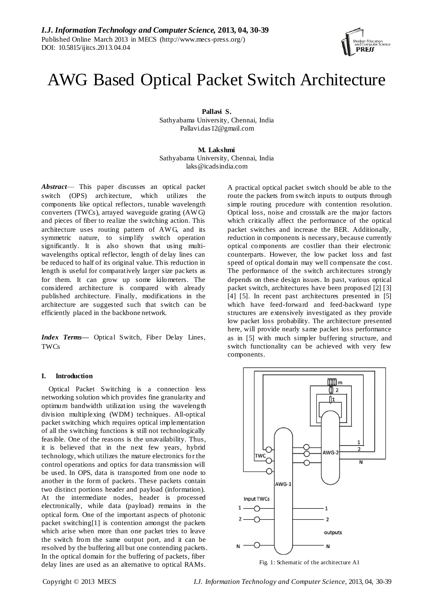# AWG Based Optical Packet Switch Architecture

**Pallavi S.**

Sathyabama University, Chennai, India [Pallavi.das12@gmail.com](mailto:Pallavi.das12@gmail.com)

**M. Lakshmi** Sathyabama University, Chennai, India laks@icadsindia.com

*Abstract*— This paper discusses an optical packet switch (OPS) architecture, which utilizes the components like optical reflectors, tunable wavelength converters (TWCs), arrayed waveguide grating (AW G) and pieces of fiber to realize the switching action. This architecture uses routing pattern of AW G, and its symmetric nature, to simplify switch operation significantly. It is also shown that using multiwavelengths optical reflector, length of delay lines can be reduced to half of its original value. This reduction in length is useful for comparatively larger size packets as for them. It can grow up some kilometers. The considered architecture is compared with already published architecture. Finally, modifications in the architecture are suggested such that switch can be efficiently placed in the backbone network.

*Index Terms***—** Optical Switch, Fiber Delay Lines, **TWCs** 

## **I. Introduction**

Optical Packet Switching is a connection less networking solution which provides fine granularity and optimum bandwidth utilization using the wavelength division multiplexing (WDM) techniques. All-optical packet switching which requires optical implementation of all the switching functions is still not technologically feasible. One of the reasons is the unavailability. Thus, it is believed that in the next few years, hybrid technology, which utilizes the mature electronics for the control operations and optics for data transmission will be used. In OPS, data is transported from one node to another in the form of packets. These packets contain two distinct portions header and payload (information). At the intermediate nodes, header is processed electronically, while data (payload) remains in the optical form. One of the important aspects of photonic packet switching[1] is contention amongst the packets which arise when more than one packet tries to leave the switch from the same output port, and it can be resolved by the buffering all but one contending packets. In the optical domain for the buffering of packets, fiber delay lines are used as an alternative to optical RAMs.

A practical optical packet switch should be able to the route the packets from switch inputs to outputs through simple routing procedure with contention resolution. Optical loss, noise and crosstalk are the major factors which critically affect the performance of the optical packet switches and increase the BER. Additionally, reduction in components is necessary, because currently optical components are costlier than their electronic counterparts. However, the low packet loss and fast speed of optical domain may well compensate the cost. The performance of the switch architectures strongly depends on these design issues. In past, various optical packet switch, architectures have been proposed [2] [3] [4] [5]. In recent past architectures presented in [5] which have feed-forward and feed-backward type structures are extensively investigated as they provide low packet loss probability. The architecture presented here, will provide nearly same packet loss performance as in [5] with much simpler buffering structure, and switch functionality can be achieved with very few components.



Fig. 1: Schematic of the architecture A1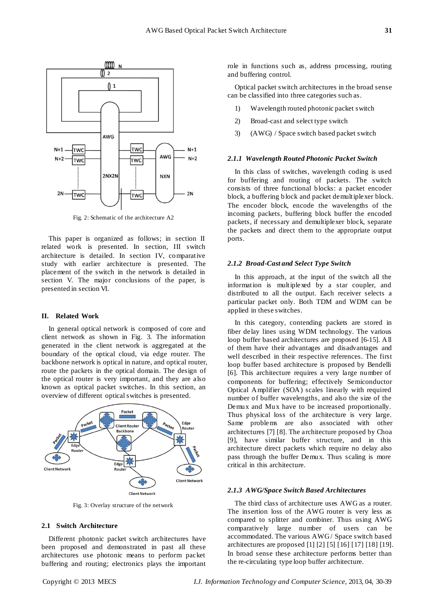

Fig. 2: Schematic of the architecture A2

This paper is organized as follows; in section II related work is presented. In section, III switch architecture is detailed. In section IV, comparative study with earlier architecture is presented. The placement of the switch in the network is detailed in section V. The major conclusions of the paper, is presented in section VI.

## **II. Related Work**

In general optical network is composed of core and client network as shown in Fig. 3. The information generated in the client network is aggregated at the boundary of the optical cloud, via edge router. The backbone network is optical in nature, and optical router, route the packets in the optical domain. The design of the optical router is very important, and they are also known as optical packet switches. In this section, an overview of different optical switches is presented.



Fig. 3: Overlay structure of the network

## **2.1 Switch Architecture**

Different photonic packet switch architectures have been proposed and demonstrated in past all these architectures use photonic means to perform packet buffering and routing; electronics plays the important role in functions such as, address processing, routing and buffering control.

Optical packet switch architectures in the broad sense can be classified into three categories such as.

- 1) Wavelength routed photonic packet switch
- 2) Broad-cast and select type switch
- 3) (AWG) / Space switch based packet switch

## *2.1.1 Wavelength Routed Photonic Packet Switch*

In this class of switches, wavelength coding is used for buffering and routing of packets. The switch consists of three functional blocks: a packet encoder block, a buffering block and packet demultiplexer block. The encoder block, encode the wavelengths of the incoming packets, buffering block buffer the encoded packets, if necessary and demultiplexer block, separate the packets and direct them to the appropriate output ports.

## *2.1.2 Broad-Cast and Select Type Switch*

In this approach, at the input of the switch all the information is multiplexed by a star coupler, and distributed to all the output. Each receiver selects a particular packet only. Both TDM and WDM can be applied in these switches.

In this category, contending packets are stored in fiber delay lines using WDM technology. The various loop buffer based architectures are proposed [6-15]. All of them have their advantages and disadvantages and well described in their respective references. The first loop buffer based architecture is proposed by Bendelli [6]. This architecture requires a very large number of components for buffering; effectively Semiconductor Optical Amplifier (SOA) scales linearly with required number of buffer wavelengths, and also the size of the Demux and Mux have to be increased proportionally. Thus physical loss of the architecture is very large. Same problems are also associated with other architectures [7] [8]. The architecture proposed by Choa [9], have similar buffer structure, and in this architecture direct packets which require no delay also pass through the buffer Demux. Thus scaling is more critical in this architecture.

## *2.1.3 AWG/Space Switch Based Architectures*

The third class of architecture uses AWG as a router. The insertion loss of the AWG router is very less as compared to splitter and combiner. Thus using AWG comparatively large number of users can be accommodated. The various AWG/ Space switch based architectures are proposed [1] [2] [5] [16] [17] [18] [19]. In broad sense these architecture performs better than the re-circulating type loop buffer architecture.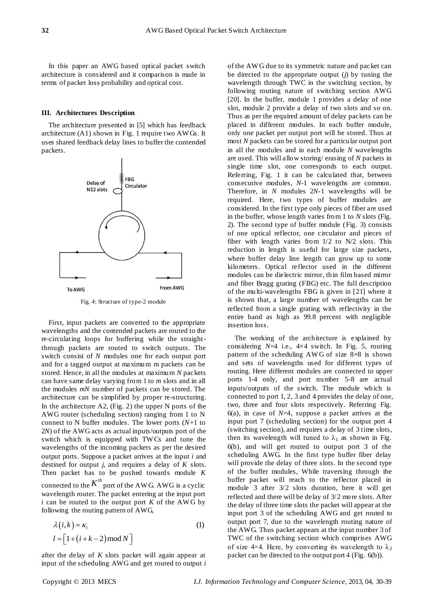In this paper an AWG based optical packet switch architecture is considered and it comparison is made in terms of packet loss probability and optical cost.

### **III. Architectures Description**

The architecture presented in [5] which has feedback architecture (A1) shown in Fig. 1 require two AW Gs. It uses shared feedback delay lines to buffer the contended packets.



Fig. 4: Structure of type-2 module

First, input packets are converted to the appropriate wavelengths and the contended packets are routed to the re-circulating loops for buffering while the straightthrough packets are routed to switch outputs. The switch consist of *N* modules one for each output port and for a tagged output at maximum m packets can be stored. Hence, in all the modules at maximum *N* packets can have same delay varying from 1 to *m* slots and in all the modules *mN* number of packets can be stored. The architecture can be simplified by proper re-structuring. In the architecture  $A2$ , (Fig. 2) the upper N ports of the AWG router (scheduling section) ranging from 1 to N connect to N buffer modules. The lower ports (*N*+1 to 2*N*) of the AWG acts as actual inputs/outputs port of the switch which is equipped with TW Cs and tune the wavelengths of the incoming packets as per the desired output ports. Suppose a packet arrives at the input *i* and destined for output *j*, and requires a delay of *K* slots. Then packet has to be pushed towards module *K* connected to the  $K^{th}$  port of the AWG. AWG is a cyclic wavelength router. The packet entering at the input port  $i$  can be routed to the output port  $K$  of the AWG by

following the routing pattern of AWG,  
\n
$$
\lambda(i,k) = \kappa_i
$$
\n
$$
l = [1 + (i + k - 2) \mod N]
$$
\n(1)

after the delay of *K* slots packet will again appear at input of the scheduling AWG and get routed to output *i* 

of the AW G due to its symmetric nature and packet can be directed to the appropriate output (*j*) by tuning the wavelength through TWC in the switching section, by following routing nature of switching section AWG [20]. In the buffer, module 1 provides a delay of one slot, module 2 provide a delay of two slots and so on. Thus as per the required amount of delay packets can be placed in different modules. In each buffer module, only one packet per output port will be stored. Thus at most *N* packets can be stored for a particular output port in all the modules and in each module *N* wavelengths are used. This will allow storing/ erasing of *N* packets in single time slot, one corresponds to each output. Referring, Fig. 1 it can be calculated that, between consecutive modules, *N*-1 wavelengths are common. Therefore, in *N* modules 2*N*-1 wavelengths will be required. Here, two types of buffer modules are considered. In the first type only pieces of fiber are used in the buffer, whose length varies from 1 to *N* slots (Fig. 2). The second type of buffer module (Fig. 3) consists of one optical reflector, one circulator and pieces of fiber with length varies from 1/2 to N/2 slots. This reduction in length is useful for large size packets, where buffer delay line length can grow up to some kilometers. Optical reflector used in the different modules can be dielectric mirror, thin film based mirror and fiber Bragg grating (FBG) etc. The full description of the multi-wavelengths FBG is given in [21] where it is shown that, a large number of wavelengths can be reflected from a single grating with reflectivity in the entire band as high as 99.8 percent with negligible insertion loss.

The working of the architecture is explained by considering *N*=4 i.e., 4×4 switch. In Fig. 5, routing pattern of the scheduling AWG of size  $8 \times 8$  is shown and sets of wavelengths used for different types of routing. Here different modules are connected to upper ports 1-4 only, and port number 5-8 are actual inputs/outputs of the switch. The module which is connected to port 1, 2, 3 and 4 provides the delay of one, two, three and four slots respectively. Referring Fig. 6(a), in case of *N*=4, suppose a packet arrives at the input port 7 (scheduling section) for the output port 4 (switching section), and requires a delay of 3 time slots, then its wavelength will tuned to  $\lambda_1$  as shown in Fig. 6(b), and will get routed to output port 3 of the scheduling AWG. In the first type buffer fiber delay will provide the delay of three slots. In the second type of the buffer modules, While traversing through the buffer packet will reach to the reflector placed in module 3 after 3/2 slots duration, here it will get reflected and there will be delay of 3/2 more slots. After the delay of three time slots the packet will appear at the input port 3 of the scheduling AWG and get routed to output port 7, due to the wavelength routing nature of the AWG. Thus packet appears at the input number 3 of TWC of the switching section which comprises AWG of size 4×4. Here, by converting its wavelength to  $\lambda_2$ packet can be directed to the output port 4 (Fig. 6(b)).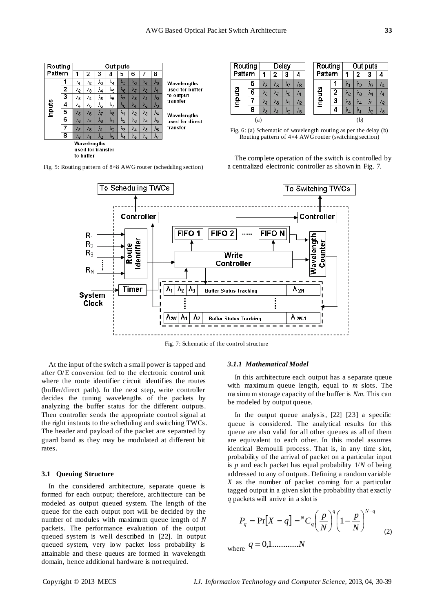

Fig. 5: Routing pattern of 8×8 AWG router (scheduling section)

| Routing<br>Pattern |   | Delay |    |    |    | Routing |         | Out puts |    |    |    |    |
|--------------------|---|-------|----|----|----|---------|---------|----------|----|----|----|----|
|                    |   |       |    | 3  |    |         | Pattern |          | 2  | J  |    |    |
| Inputs             | 5 | ٨6    | ٩ĥ | Λτ | Λ8 |         | Inputs  |          | Л1 | Λэ | V3 | ٨a |
|                    | 6 | ۸g    | Λτ | Λ۹ | Λ1 |         |         | 2        | Λ2 | Λз | Λø | М  |
|                    |   | Λ7    | ۸8 | Λя | Λ2 |         |         | 3        | V3 | Λи | ۸ı | Λ2 |
|                    | 8 | ٨8    | ΛИ | Λэ | ٨з |         |         |          | M  | ۸ı | Λο | Λვ |
| (a)                |   |       |    |    |    |         | (b)     |          |    |    |    |    |

Fig. 6: (a) Schematic of wavelength routing as per the delay (b) Routing pattern of 4×4 AWG router (switching section)

The complete operation of the switch is controlled by a centralized electronic controller as shown in Fig. 7.



Fig. 7: Schematic of the control structure

At the input of the switch a small power is tapped and after O/E conversion fed to the electronic control unit where the route identifier circuit identifies the routes (buffer/direct path). In the next step, write controller decides the tuning wavelengths of the packets by analyzing the buffer status for the different outputs. Then controller sends the appropriate control signal at the right instants to the scheduling and switching TWCs. The header and payload of the packet are separated by guard band as they may be modulated at different bit rates.

### **3.1 Queuing Structure**

In the considered architecture, separate queue is formed for each output; therefore, architecture can be modeled as output queued system. The length of the queue for the each output port will be decided by the number of modules with maximum queue length of *N* packets. The performance evaluation of the output queued system is well described in [22]. In output queued system, very low packet loss probability is attainable and these queues are formed in wavelength domain, hence additional hardware is not required.

#### *3.1.1 Mathematical Model*

In this architecture each output has a separate queue with maximum queue length, equal to *m* slots. The maximum storage capacity of the buffer is *Nm*. This can be modeled by output queue.

In the output queue analysis, [22] [23] a specific queue is considered. The analytical results for this queue are also valid for all other queues as all of them are equivalent to each other. In this model assumes identical Bernoulli process. That is, in any time slot, probability of the arrival of packet on a particular input is *p* and each packet has equal probability 1/*N* of being addressed to any of outputs. Defining a random variable *X* as the number of packet coming for a particular tagged output in a given slot the probability that exactly *q* packets will arrive in a slot is

$$
P_q = \Pr[X = q] = {}^{N}C_q \left(\frac{p}{N}\right)^q \left(1 - \frac{p}{N}\right)^{N-q}
$$
 (2)

where  $q = 0,1$ .............*N*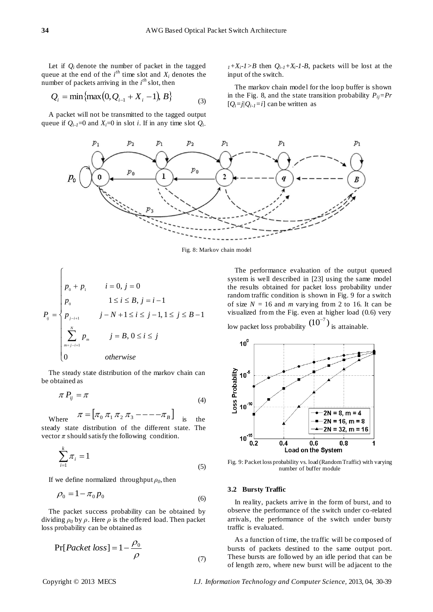Let if  $Q_i$  denote the number of packet in the tagged queue at the end of the  $i^{th}$  time slot and  $X_i$  denotes the number of packets arriving in the  $i<sup>th</sup>$  slot, then

$$
Q_i = \min\{\max(0, Q_{i-1} + X_i - 1), B\}
$$
 (3)

A packet will not be transmitted to the tagged output queue if  $Q_{i-1}=0$  and  $X_i=0$  in slot *i*. If in any time slot  $Q_i$ .

 $1 + X_i - 1 > B$  then  $Q_{i-1} + X_i - 1 - B$ , packets will be lost at the input of the switch.

The markov chain model for the loop buffer is shown in the Fig. 8, and the state transition probability  $P_{ij} = Pr$  $[Q_i = j/Q_{i-1} = i]$  can be written as



Fig. 8: Markov chain model

$$
P_{ij} = \begin{cases} p_0 + p_1 & i = 0, j = 0 \\ p_0 & 1 \le i \le B, j = i - 1 \\ p_{j-i+1} & j - N + 1 \le i \le j - 1, 1 \le j \le B - 1 \\ \sum_{m=j-i+1}^{N} p_m & j = B, 0 \le i \le j \\ 0 & \text{otherwise} \end{cases}
$$

The steady state distribution of the markov chain can be obtained as

$$
\pi P_{ij} = \pi \tag{4}
$$

$$
\text{Where } \quad \pi = \begin{bmatrix} \pi_0 & \pi_1 \pi_2 \pi_3 & \cdots & \cdots & \pi_{\text{B}} \end{bmatrix} \quad \text{is} \quad \text{the}
$$

steady state distribution of the different state. The vector  $\pi$  should satisfy the following condition.

$$
\sum_{i=1}^{k} \pi_i = 1 \tag{5}
$$

If we define normalized throughput  $\rho_0$ , then

$$
\rho_0 = 1 - \pi_0 p_0 \tag{6}
$$

The packet success probability can be obtained by dividing  $\rho_0$  by  $\rho$ . Here  $\rho$  is the offered load. Then packet loss probability can be obtained as

$$
Pr[Packet loss] = 1 - \frac{\rho_0}{\rho}
$$
\n(7)

The performance evaluation of the output queued system is well described in [23] using the same model the results obtained for packet loss probability under random traffic condition is shown in Fig. 9 for a switch of size  $N = 16$  and *m* varying from 2 to 16. It can be visualized from the Fig. even at higher load (0.6) very low packet loss probability  $(10^{-7})$  is attainable.



Fig. 9: Packet loss probability vs. load (Random Traffic) with varying number of buffer module

## **3.2 Bursty Traffic**

In reality, packets arrive in the form of burst, and to observe the performance of the switch under co-related arrivals, the performance of the switch under bursty traffic is evaluated.

As a function of time, the traffic will be composed of bursts of packets destined to the same output port. These bursts are followed by an idle period that can be of length zero, where new burst will be adjacent to the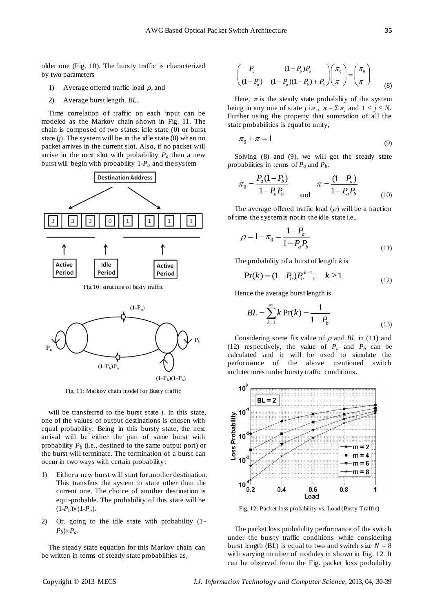older one (Fig. 10). The bursty traffic is characterized by two parameters

- 1) Average offered traffic load  $\rho$ , and
- 2) Average burst length, *BL*.

Time correlation of traffic on each input can be modeled as the Markov chain shown in Fig. 11. The chain is composed of two states: idle state (0) or burst state (*j*). The system will be in the idle state (0) when no packet arrives in the current slot. Also, if no packet will arrive in the next slot with probability  $P_a$  then a new burst will begin with probability  $1-P_a$  and the system



Fig.10: structure of busty traffic



Fig. 11: Markov chain model for Busty traffic

will be transferred to the burst state *j*. In this state, one of the values of output destinations is chosen with equal probability. Being in this bursty state, the next arrival will be either the part of same burst with probability  $P_b$  (i.e., destined to the same output port) or the burst will terminate. The termination of a burst can occur in two ways with certain probability:

- 1) Either a new burst will start for another destination. This transfers the system to state other than the current one. The choice of another destination is equi-probable. The probability of this state will be  $(1-P_b)\times(1-P_a)$ .
- 2) Or, going to the idle state with probability (1-  $P_b$ ) $\times P_a$ .

The steady state equation for this Markov chain can be written in terms of steady state probabilities as,

$$
\begin{pmatrix} P_a & (1-P_b)P_a \\ (1-P_a) & (1-P_a)(1-P_b) + P_b \end{pmatrix} \begin{pmatrix} \pi_0 \\ \pi \end{pmatrix} = \begin{pmatrix} \pi_0 \\ \pi \end{pmatrix}
$$
 (8)

Here,  $\pi$  is the steady state probability of the system being in any one of state *j* i.e.,  $\pi = \sum \pi_i$  and  $1 \le j \le N$ . Further using the property that summation of all the state probabilities is equal to unity,

$$
\pi_0 + \pi = 1 \tag{9}
$$

Solving (8) and (9), we will get the steady state probabilities in terms of  $P_a$  and  $P_b$ .

$$
\pi_0 = \frac{P_a (1 - P_b)}{1 - P_a P_b} \qquad \pi = \frac{(1 - P_a)}{1 - P_a P_b}
$$
\n(10)

The average offered traffic load  $(\rho)$  will be a fraction of time the system is not in the idle state i.e.,

$$
\rho = 1 - \pi_0 = \frac{1 - P_a}{1 - P_a P_b} \tag{11}
$$

The probability of a burst of length *k* is

$$
Pr(k) = (1 - P_b)P_b^{k-1}, \quad k \ge 1
$$
 (12)

Hence the average burst length is

$$
BL = \sum_{k=1}^{\infty} k \Pr(k) = \frac{1}{1 - P_b}
$$
 (13)

Considering some fix value of  $\rho$  and *BL* in (11) and (12) respectively, the value of  $P_a$  and  $P_b$  can be calculated and it will be used to simulate the performance of the above mentioned switch architectures under bursty traffic conditions.



Fig. 12: Packet loss probability vs. Load (Busty Traffic)

The packet loss probability performance of the switch under the bursty traffic conditions while considering burst length (BL) is equal to two and switch size  $N = 8$ with varying number of modules in shown in Fig. 12. It can be observed from the Fig. packet loss probability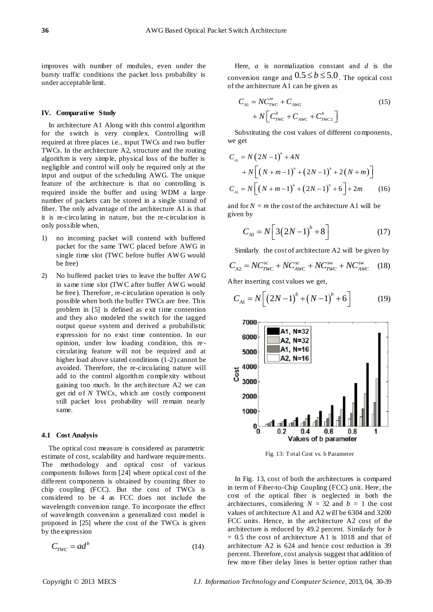improves with number of modules, even under the bursty traffic conditions the packet loss probability is under acceptable limit.

## **IV. Comparative Study**

In architecture A1 Along with this control algorithm for the switch is very complex. Controlling will required at three places i.e., input TWCs and two buffer TWCs. In the architecture A2, structure and the routing algorithm is very simple, physical loss of the buffer is negligible and control will only be required only at the input and output of the scheduling AWG. The unique feature of the architecture is that no controlling is required inside the buffer and using WDM a large number of packets can be stored in a single strand of fiber. The only advantage of the architecture A1 is that it is re-circulating in nature, but the re-circulation is only possible when,

- 1) no incoming packet will contend with buffered packet for the same TWC placed before AWG in single time slot (TWC before buffer AW G would be free)
- 2) No buffered packet tries to leave the buffer AW G in same time slot (TW C after buffer AW G would be free). Therefore, re-circulation operation is only possible when both the buffer TWCs are free. This problem in [5] is defined as exit time contention and they also modeled the switch for the tagged output queue system and derived a probabilistic expression for no exist time contention. In our opinion, under low loading condition, this re circulating feature will not be required and at higher load above stated conditions (1-2) cannot be avoided. Therefore, the re-circulating nature will add to the control algorithm complexity without gaining too much. In the architecture A2 we can get rid of *N* TWCs, which are costly component still packet loss probability will remain nearly same.

## **4.1 Cost Analysis**

The optical cost measure is considered as parametric estimate of cost, scalability and hardware requirements. The methodology and optical cost of various components follows form [24] where optical cost of the different components is obtained by counting fiber to chip coupling (FCC). But the cost of TWCs is considered to be 4 as FCC does not include the wavelength conversion range. To incorporate the effect of wavelength conversion a generalized cost model is proposed in [25] where the cost of the TWCs is given by the expression

the expression  

$$
C_{TWC} = ad^b
$$
 (14)

Here, *a* is normalization constant and *d* is the conversion range and  $0.5 \le b \le 5.0$ . The optical cost

of the architecture A1 can be given as  
\n
$$
C_{A1} = NC_{TWC}^{in} + C_{AWG} + C_{WWC} + N\left[C_{TWC}^{b} + C_{AWC}^{a} + C_{TWC2}^{b}\right]
$$
\n(15)

Substituting the cost values of different components, we get

we get  
\n
$$
C_{A1} = N(2N-1)^{b} + 4N
$$
\n
$$
+ N\left[ (N+m-1)^{b} + (2N-1)^{b} + 2(N+m) \right]
$$
\n
$$
C_{A1} = N\left[ (N+m-1)^{b} + (2N-1)^{b} + 6 \right] + 2m
$$
\n(16)

and for  $N = m$  the cost of the architecture A1 will be given by

n by  

$$
C_{A1} = N \left[ 3(2N-1)^{b} + 8 \right]
$$
 (17)

Similarly the cost of architecture A2 will be given by  

$$
C_{A2} = NC_{TWC}^{sc} + NC_{AWC}^{sc} + NC_{TWC}^{sw} + NC_{AWC}^{sw}
$$
 (18)

After inserting cost values we get,  
\n
$$
C_{A1} = N \left[ \left( 2N - 1 \right)^b + \left( N - 1 \right)^b + 6 \right] \tag{19}
$$



Fig. 13: Total Cost vs. b Parameter

In Fig. 13, cost of both the architectures is compared in term of Fiber-to-Chip Coupling (FCC) unit. Here, the cost of the optical fiber is neglected in both the architectures, considering  $N = 32$  and  $b = 1$  the cost values of architecture A1 and A2 will be 6304 and 3200 FCC units. Hence, in the architecture A2 cost of the architecture is reduced by 49.2 percent. Similarly for *b*  $= 0.5$  the cost of architecture A1 is 1018 and that of architecture A2 is 624 and hence cost reduction is 39 percent. Therefore, cost analysis suggest that addition of few more fiber delay lines is better option rather than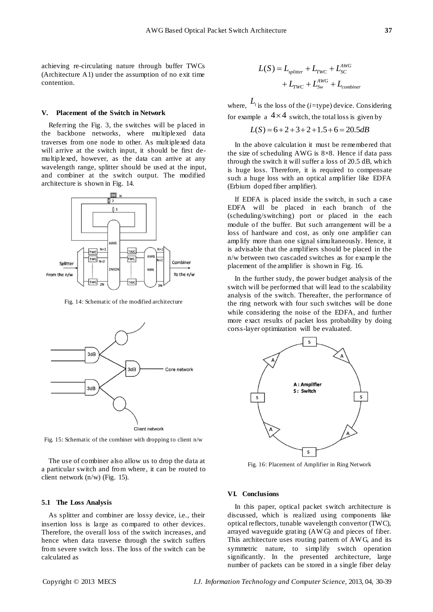achieving re-circulating nature through buffer TWCs (Architecture A1) under the assumption of no exit time contention.

#### **V. Placement of the Switch in Network**

Referring the Fig. 3, the switches will be placed in the backbone networks, where multiplexed data traverses from one node to other. As multiplexed data will arrive at the switch input, it should be first demultiplexed, however, as the data can arrive at any wavelength range, splitter should be used at the input, and combiner at the switch output. The modified architecture is shown in Fig. 14.



Fig. 14: Schematic of the modified architecture



Fig. 15: Schematic of the combiner with dropping to client n/w

The use of combiner also allow us to drop the data at a particular switch and from where, it can be routed to client network (n/w) (Fig. 15).

#### **5.1 The Loss Analysis**

As splitter and combiner are lossy device, i.e., their insertion loss is large as compared to other devices. Therefore, the overall loss of the switch increases, and hence when data traverse through the switch suffers from severe switch loss. The loss of the switch can be calculated as

$$
L(S) = Lsplitter + LTWC + LSCAWG
$$

$$
+ LTWC + LSWAWG + Lcombine
$$

where,  $L_i$  is the loss of the (*i*=type) device. Considering for example a  $4 \times 4$  switch, the total loss is given by<br> $L(S) = 6 + 2 + 3 + 2 + 1.5 + 6 = 20.5 dB$ 

$$
L(S) = 6 + 2 + 3 + 2 + 1.5 + 6 = 20.5
$$
dB

In the above calculation it must be remembered that the size of scheduling AWG is  $8 \times 8$ . Hence if data pass through the switch it will suffer a loss of 20.5 dB, which is huge loss. Therefore, it is required to compensate such a huge loss with an optical amplifier like EDFA (Erbium doped fiber amplifier).

If EDFA is placed inside the switch, in such a case EDFA will be placed in each branch of the (scheduling/switching) port or placed in the each module of the buffer. But such arrangement will be a loss of hardware and cost, as only one amplifier can amplify more than one signal simultaneously. Hence, it is advisable that the amplifiers should be placed in the n/w between two cascaded switches as for example the placement of the amplifier is shown in Fig. 16.

In the further study, the power budget analysis of the switch will be performed that will lead to the scalability analysis of the switch. Thereafter, the performance of the ring network with four such switches will be done while considering the noise of the EDFA, and further more exact results of packet loss probability by doing corss-layer optimization will be evaluated.



Fig. 16: Placement of Amplifier in Ring Network

## **VI. Conclusions**

In this paper, optical packet switch architecture is discussed, which is realized using components like optical reflectors, tunable wavelength convertor (TWC), arrayed waveguide grating (AW G) and pieces of fiber. This architecture uses routing pattern of AW G, and its symmetric nature, to simplify switch operation significantly. In the presented architecture, large number of packets can be stored in a single fiber delay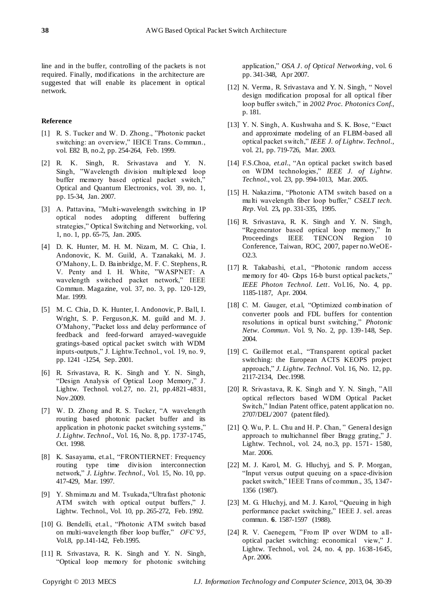line and in the buffer, controlling of the packets is not required. Finally, modifications in the architecture are suggested that will enable its placement in optical network.

## **Reference**

- [1] R. S. Tucker and W. D. Zhong., "Photonic packet switching: an overview," IEICE Trans. Commun., vol. E82 B, no.2, pp. 254-264, Feb. 1999.
- [2] R. K. Singh, R. Srivastava and Y. N. Singh, "Wavelength division multiplexed loop buffer memory based optical packet switch,' Optical and Quantum Electronics, vol. 39, no. 1, pp. 15-34, Jan. 2007.
- [3] A. Pattavina, "Multi-wavelength switching in IP optical nodes adopting different buffering strategies," Optical Switching and Networking, vol. 1, no. 1, pp. 65-75, Jan. 2005.
- [4] D. K. Hunter, M. H. M. Nizam, M. C. Chia, I. Andonovic, K. M. Guild, A. Tzanakaki, M. J. O'Mahony, L. D. Bainbridge, M. F. C. Stephens, R. V. Penty and I. H. White, "WASPNET: A wavelength switched packet network," IEEE Commun. Magazine, vol. 37, no. 3, pp. 120-129, Mar. 1999.
- [5] M. C. Chia, D. K. Hunter, I. Andonovic, P. Ball, I. Wright, S. P. Ferguson,K. M. guild and M. J. O'Mahony, "Packet loss and delay performance of feedback and feed-forward arrayed-waveguide gratings-based optical packet switch with WDM inputs-outputs," J. Lightw.Technol., vol. 19, no. 9, pp. 1241 -1254, Sep. 2001.
- [6] R. Srivastava, R. K. Singh and Y. N. Singh, "Design Analysis of Optical Loop Memory," J. Lightw. Technol. vol.27, no. 21, pp.4821-4831, Nov.2009.
- [7] W. D. Zhong and R. S. Tucker, "A wavelength routing based photonic packet buffer and its application in photonic packet switching systems," *J. Lightw. Technol*., Vol. 16, No. 8, pp. 1737-1745, Oct. 1998.
- [8] K. Sasayama, et.al., "FRONTIERNET: Frequency routing type time division interconnection network," *J. Lightw. Technol.*, Vol. 15, No. 10, pp. 417-429, Mar. 1997.
- [9] Y. Shmimazu and M. Tsukada,"Ultrafast photonic ATM switch with optical output buffers," J. Lightw. Technol., Vol. 10, pp. 265-272, Feb. 1992.
- [10] G. Bendelli, et.al., "Photonic ATM switch based on multi-wavelength fiber loop buffer," *OFC'95*, Vol.8, pp.141-142, Feb.1995.
- [11] R. Srivastava, R. K. Singh and Y. N. Singh, "Optical loop memory for photonic switching

application," *OSA J. of Optical Networking*, vol. 6 pp. 341-348, Apr 2007.

- [12] N. Verma, R. Srivastava and Y. N. Singh, " Novel design modification proposal for all optical fiber loop buffer switch," in *2002 Proc. Photonics Conf.*, p. 181.
- [13] Y. N. Singh, A. Kushwaha and S. K. Bose, "Exact and approximate modeling of an FLBM-based all optical packet switch," *IEEE J. of Lightw. Technol.*, vol. 21, pp. 719-726, Mar. 2003.
- [14] F.S.Choa, *et.al.*, "An optical packet switch based on WDM technologies," *IEEE J. of Lightw. Technol.*, vol. 23, pp. 994-1013, Mar. 2005.
- [15] H. Nakazima, "Photonic ATM switch based on a multi wavelength fiber loop buffer," *CSELT tech. Rep*. Vol. 23**,** pp. 331-335, 1995.
- [16] R. Srivastava, R. K. Singh and Y. N. Singh, "Regenerator based optical loop memory," In Proceedings IEEE TENCON Region 10 Conference, Taiwan, ROC, 2007, paper no.WeOE- $O2.3$
- [17] R. Takabashi, et.al., "Photonic random access memory for 40- Gbps 16-b burst optical packets," *IEEE Photon Technol. Lett*. Vol.16, No. 4, pp. 1185-1187, Apr. 2004.
- [18] C. M. Gauger, et.al, "Optimized combination of converter pools and FDL buffers for contention resolutions in optical burst switching," *Photonic Netw. Commun*. Vol. 9, No. 2, pp. 139-148, Sep. 2004.
- [19] C. Guillernot et.al., "Transparent optical packet switching: the European ACTS KEOPS project approach," *J. Lightw. Technol.* Vol. 16, No. 12, pp. 2117-2134, Dec.1998.
- [20] R. Srivastava, R. K. Singh and Y. N. Singh, "All optical reflectors based WDM Optical Packet Switch," Indian Patent office, patent application no. 2707/DEL/2007 (patent filed).
- [21] Q. Wu, P. L. Chu and H. P. Chan, " General design approach to multichannel fiber Bragg grating," J. Lightw. Technol., vol. 24, no.3, pp. 1571- 1580, Mar. 2006.
- [22] M. J. Karol, M. G. Hluchyj, and S. P. Morgan, "Input versus output queuing on a space-division packet switch," IEEE Trans of commun., 35, 1347- 1356 (1987).
- [23] M. G. Hluchyj, and M. J. Karol, "Queuing in high performance packet switching," IEEE J. sel. areas commun*.* **6***.* 1587-1597 (1988).
- [24] R. V. Caenegem, "From IP over WDM to alloptical packet switching: economical view," J. Lightw. Technol., vol. 24, no. 4, pp. 1638-1645, Apr. 2006.